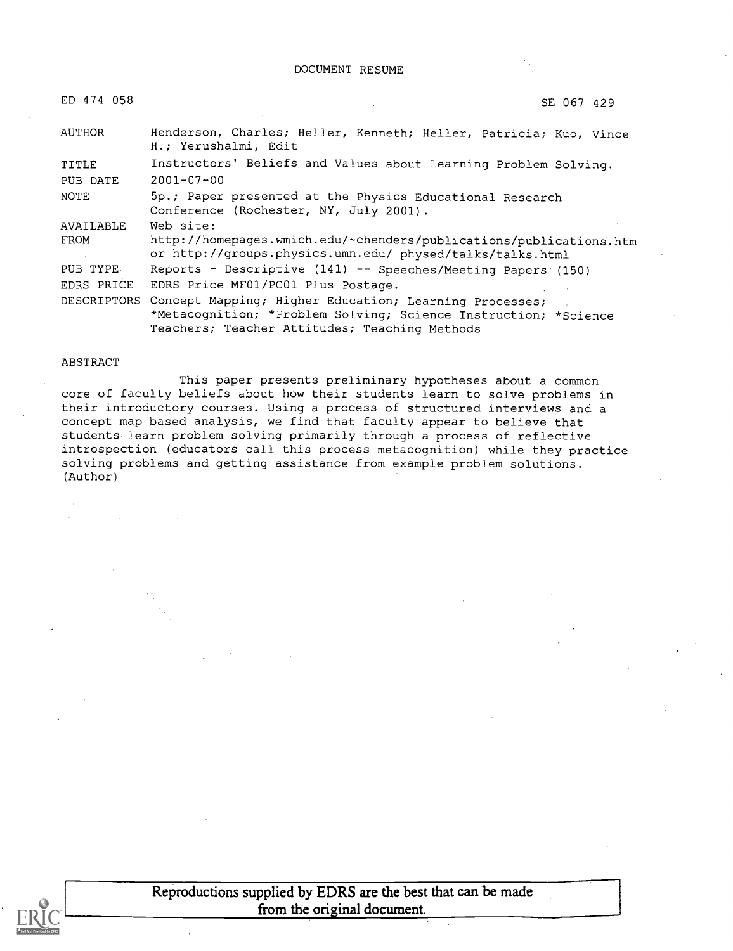DOCUMENT RESUME

| ED 474 058  | SE 067 429                                                                                                                                                                 |
|-------------|----------------------------------------------------------------------------------------------------------------------------------------------------------------------------|
| AUTHOR      | Henderson, Charles; Heller, Kenneth; Heller, Patricia; Kuo, Vince<br>H.; Yerushalmi, Edit                                                                                  |
| TITLE       | Instructors' Beliefs and Values about Learning Problem Solving.                                                                                                            |
| PUB DATE    | $2001 - 07 - 00$                                                                                                                                                           |
| NOTE        | 5p.; Paper presented at the Physics Educational Research<br>Conference (Rochester, NY, July 2001).                                                                         |
| AVAILABLE   | Web site:                                                                                                                                                                  |
| FROM        | http://homepages.wmich.edu/~chenders/publications/publications.htm<br>or http://groups.physics.umn.edu/ physed/talks/talks.html                                            |
| PUB TYPE    | Reports - Descriptive (141) -- Speeches/Meeting Papers (150)                                                                                                               |
| EDRS PRICE  | EDRS Price MF01/PC01 Plus Postage.                                                                                                                                         |
| DESCRIPTORS | Concept Mapping; Higher Education; Learning Processes;<br>*Metacognition; *Problem Solving; Science Instruction; *Science<br>Teachers; Teacher Attitudes; Teaching Methods |

#### ABSTRACT

This paper presents preliminary hypotheses about a common core of faculty beliefs about how their students learn to solve problems in their introductory courses. Using a process of structured interviews and a concept map based analysis, we find that faculty appear to believe that students learn problem solving primarily through a process of reflective introspection (educators call this process metacognition) while they practice solving problems and getting assistance from example problem solutions. (Author)



Reproductions supplied by EDRS are the best that can be made from the original document.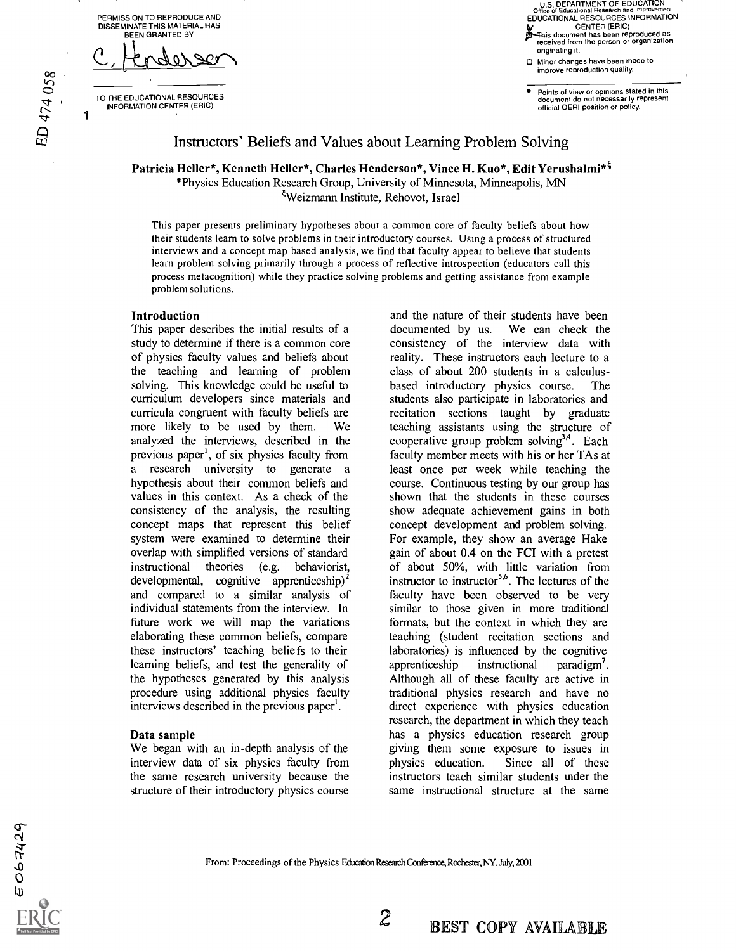PERMISSION TO REPRODUCE AND DISSEMINATE THIS MATERIAL HAS BEEN GRANTED BY

 $\infty$  ,  $-$ C, Hendersen

TO THE EDUCATIONAL RESOURCES INFORMATION CENTER (ERIC)

باسي<br>مراجع

1

U.S. DEPARTMENT OF EDUCATION Office of Educational Research and Improvement EDUCATIONAL RESOURCES INFORMATION CENTER (ERIC) *X*-This document has been reproduced as<br>received from the person or organization originating it.

**D** Minor changes have been made to improve reproduction quality.

Points of view or opinions stated in this document do not necessarily represent official OERI position or policy.

## Instructors' Beliefs and Values about Learning Problem Solving

Patricia Heller\*, Kenneth Heller\*, Charles Henderson\*, Vince H. Kuo\*, Edit Yerushalmi\*<sup>5</sup> \*Physics Education Research Group, University of Minnesota, Minneapolis, MN Weizmann Institute, Rehovot, Israel

This paper presents preliminary hypotheses about a common core of faculty beliefs about how their students learn to solve problems in their introductory courses. Using a process of structured interviews and a concept map based analysis, we find that faculty appear to believe that students learn problem solving primarily through a process of reflective introspection (educators call this process metacognition) while they practice solving problems and getting assistance from example problem solutions.

#### Introduction

This paper describes the initial results of a study to determine if there is a common core of physics faculty values and beliefs about the teaching and learning of problem solving. This knowledge could be useful to curriculum developers since materials and curricula congruent with faculty beliefs are more likely to be used by them. We analyzed the interviews, described in the previous paper', of six physics faculty from a research university to generate a hypothesis about their common beliefs and values in this context. As a check of the consistency of the analysis, the resulting concept maps that represent this belief system were examined to determine their overlap with simplified versions of standard instructional theories (e.g. behaviorist, developmental, cognitive apprenticeship)<sup>2</sup> and compared to a similar analysis of individual statements from the interview. In future work we will map the variations elaborating these common beliefs, compare these instructors' teaching beliefs to their learning beliefs, and test the generality of the hypotheses generated by this analysis procedure using additional physics faculty interviews described in the previous paper'.

#### Data sample

We began with an in-depth analysis of the interview data of six physics faculty from physics education. the same research university because the structure of their introductory physics course

and the nature of their students have been documented by us. We can check the consistency of the interview data with reality. These instructors each lecture to a class of about 200 students in a calculusbased introductory physics course. The students also participate in laboratories and recitation sections taught by graduate teaching assistants using the structure of cooperative group problem solving<sup>3,4</sup>. Each faculty member meets with his or her TAs at least once per week while teaching the course. Continuous testing by our group has shown that the students in these courses show adequate achievement gains in both concept development and problem solving. For example, they show an average Hake gain of about 0.4 on the FCI with a pretest of about 50%, with little variation from instructor to instructor<sup>5,6</sup>. The lectures of the faculty have been observed to be very similar to those given in more traditional formats, but the context in which they are teaching (student recitation sections and laboratories) is influenced by the cognitive apprenticeship instructional paradigm'. Although all of these faculty are active in traditional physics research and have no direct experience with physics education research, the department in which they teach has a physics education research group giving them some exposure to issues in Since all of these instructors teach similar students under the same instructional structure at the same

From: Proceedings of the Physics Education Research Conference, Rochester, NY, July, 2001

 $\mathfrak{r}$ 

 $\Gamma$ 

 $\overline{O}$  and  $\overline{O}$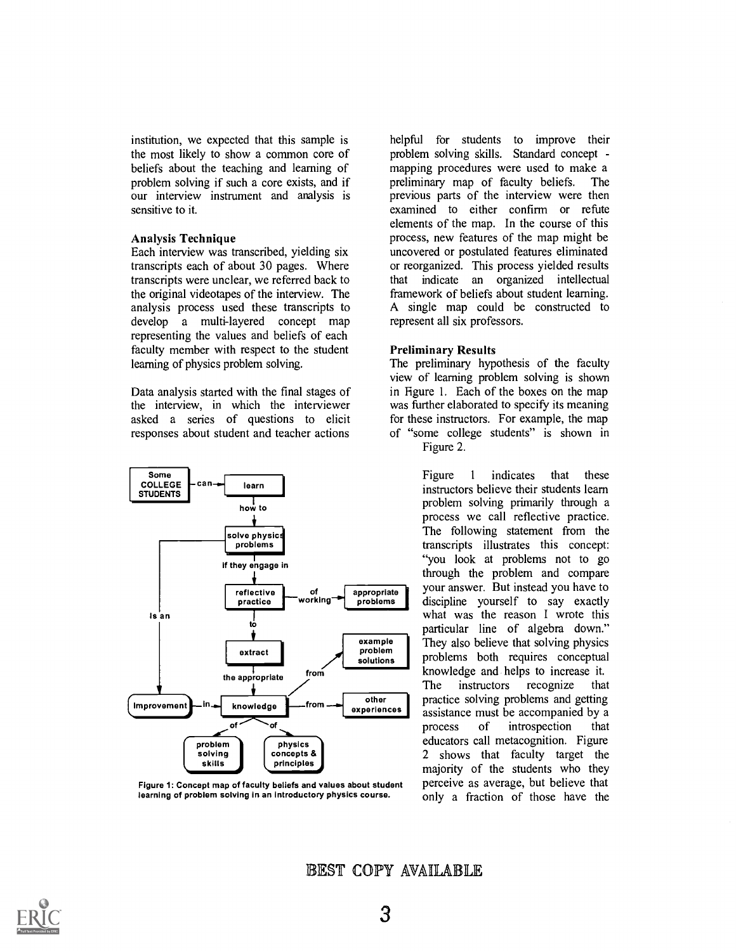institution, we expected that this sample is the most likely to show a common core of beliefs about the teaching and learning of problem solving if such a core exists, and if our interview instrument and analysis is sensitive to it.

#### Analysis Technique

Each interview was transcribed, yielding six transcripts each of about 30 pages. Where transcripts were unclear, we referred back to the original videotapes of the interview. The analysis process used these transcripts to develop a multi-layered concept map representing the values and beliefs of each faculty member with respect to the student learning of physics problem solving.

Data analysis started with the final stages of the interview, in which the interviewer asked a series of questions to elicit responses about student and teacher actions



Figure 1: Concept map of faculty beliefs and values about student learning of problem solving in an introductory physics course.

helpful for students to improve their problem solving skills. Standard concept mapping procedures were used to make a preliminary map of faculty beliefs. The previous parts of the interview were then examined to either confirm or refute elements of the map. In the course of this process, new features of the map might be uncovered or postulated features eliminated or reorganized. This process yielded results that indicate an organized intellectual framework of beliefs about student learning. A single map could be constructed to represent all six professors.

#### Preliminary Results

The preliminary hypothesis of the faculty view of learning problem solving is shown in Figure 1. Each of the boxes on the map was further elaborated to specify its meaning for these instructors. For example, the map of "some college students" is shown in

Figure 2.

Figure 1 indicates that these instructors believe their students learn problem solving primarily through a process we call reflective practice. The following statement from the transcripts illustrates this concept: "you look at problems not to go through the problem and compare your answer. But instead you have to discipline yourself to say exactly what was the reason I wrote this particular line of algebra down." They also believe that solving physics problems both requires conceptual knowledge and helps to increase it. The instructors recognize that practice solving problems and getting assistance must be accompanied by a process of introspection that educators call metacognition. Figure 2 shows that faculty target the majority of the students who they perceive as average, but believe that only a fraction of those have the

EST COPY AVAILABLE

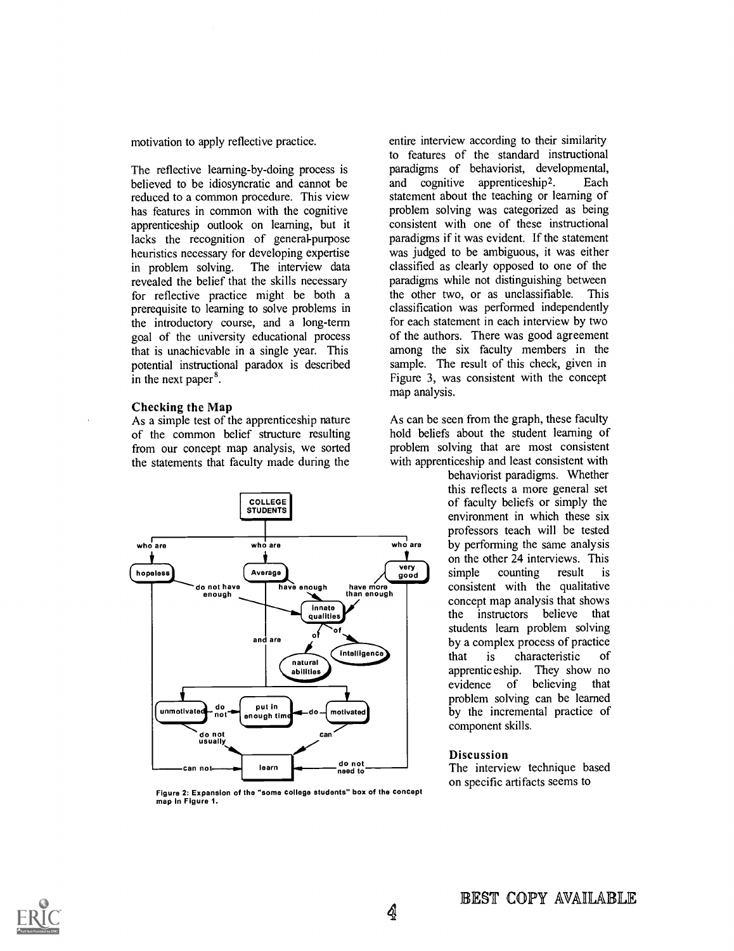motivation to apply reflective practice.

The reflective learning-by-doing process is believed to be idiosyncratic and cannot be reduced to a common procedure. This view has features in common with the cognitive apprenticeship outlook on learning, but it lacks the recognition of general-purpose heuristics necessary for developing expertise<br>in problem solving. The interview data in problem solving. revealed the belief that the skills necessary for reflective practice might be both a prerequisite to learning to solve problems in the introductory course, and a long-term goal of the university educational process that is unachievable in a single year. This potential instructional paradox is described in the next paper<sup>8</sup>.

#### Checking the Map

As a simple test of the apprenticeship nature of the common belief structure resulting from our concept map analysis, we sorted the statements that faculty made during the



Figure 2: Expansion of the "some college students" box of the concept map in Figure 1.

entire interview according to their similarity to features of the standard instructional paradigms of behaviorist, developmental, and cognitive apprenticeship2. Each statement about the teaching or learning of problem solving was categorized as being consistent with one of these instructional paradigms if it was evident. If the statement was judged to be ambiguous, it was either classified as clearly opposed to one of the paradigms while not distinguishing between the other two, or as unclassifiable. This classification was performed independently for each statement in each interview by two of the authors. There was good agreement among the six faculty members in the sample. The result of this check, given in Figure 3, was consistent with the concept map analysis.

As can be seen from the graph, these faculty hold beliefs about the student learning of problem solving that are most consistent with apprenticeship and least consistent with

behaviorist paradigms. Whether this reflects a more general set of faculty beliefs or simply the environment in which these six professors teach will be tested by performing the same analysis on the other 24 interviews. This<br>simple counting result is counting result is consistent with the qualitative concept map analysis that shows<br>the instructors believe that the instructors believe students learn problem solving by a complex process of practice that is characteristic of apprentic eship. They show no evidence of believing that problem solving can be learned by the incremental practice of component skills.

### Discussion

The interview technique based on specific artifacts seems to

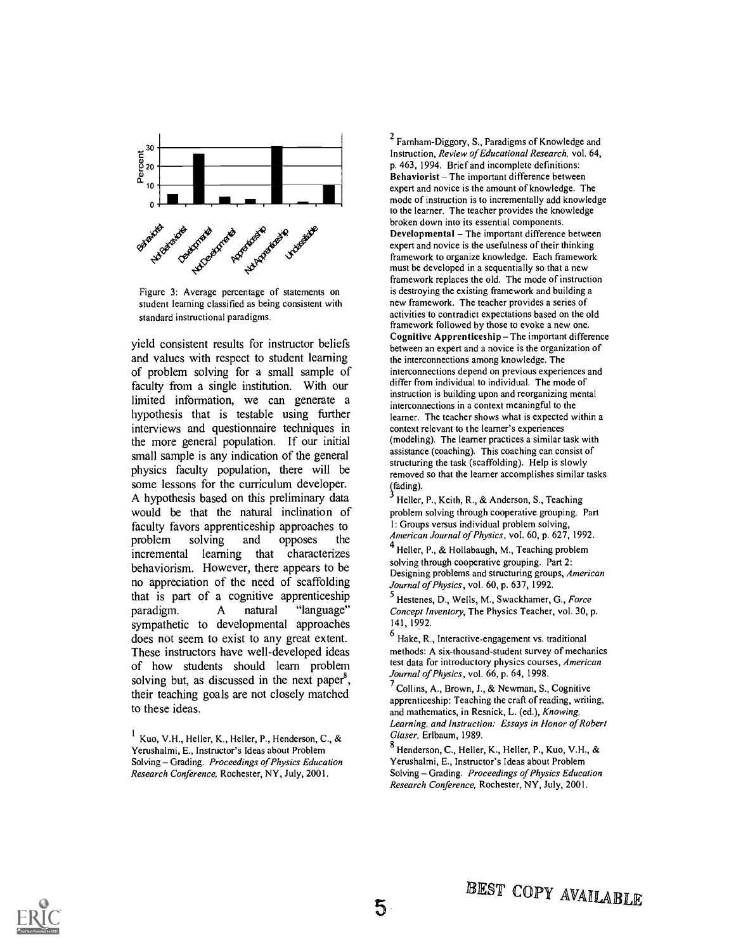



yield consistent results for instructor beliefs and values with respect to student learning of problem solving for a small sample of faculty from a single institution. With our limited information, we can generate a hypothesis that is testable using further interviews and questionnaire techniques in the more general population. If our initial small sample is any indication of the general physics faculty population, there will be some lessons for the curriculum developer. A hypothesis based on this preliminary data would be that the natural inclination of faculty favors apprenticeship approaches to<br>problem solving and opposes the problem solving and opposes the incremental learning that characterizes behaviorism. However, there appears to be no appreciation of the need of scaffolding that is part of a cognitive apprenticeship<br>paradigm. A natural "language" paradigm. A natural "language" sympathetic to developmental approaches does not seem to exist to any great extent. These instructors have well-developed ideas of how students should learn problem solving but, as discussed in the next paper<sup>8</sup>, their teaching goals are not closely matched to these ideas.

 $2$  Farnham-Diggory, S., Paradigms of Knowledge and Instruction, Review of Educational Research, vol. 64, p. 463, 1994. Brief and incomplete definitions: Behaviorist - The important difference between expert and novice is the amount of knowledge. The mode of instmction is to incrementally add knowledge to the learner. The teacher provides the knowledge broken down into its essential components. Developmental  $-$  The important difference between expert and novice is the usefulness of their thinking framework to organize knowledge. Each framework must be developed in a sequentially so that a new framework replaces the old. The mode of instruction is destroying the existing framework and building a new framework. The teacher provides a series of activities to contradict expectations based on the old framework followed by those to evoke a new one. Cognitive Apprenticeship  $-$  The important difference between an expert and a novice is the organization of the interconnections among knowledge. The interconnections depend on previous experiences and differ from individual to individual. The mode of instruction is building upon and reorganizing mental interconnections in a context meaningful to the learner. The teacher shows what is expected within a context relevant to the learner's experiences (modeling). The learner practices a similar task with assistance (coaching). This coaching can consist of structuring the task (scaffolding). Help is slowly removed so that the learner accomplishes similar tasks (fading).

Heller, P., Keith, R., & Anderson, S., Teaching problem solving through cooperative grouping. Part 1: Groups versus individual problem solving, American Journal of Physics, vol. 60, p. 627, 1992.

<sup>4</sup> Heller, P., & Hollabaugh, M., Teaching problem solving through cooperative grouping. Part 2: Designing problems and structuring groups, American Journal of Physics, vol. 60, p. 637, 1992.

<sup>5</sup> Hestenes, D., Wells, M., Swackhamer, G., Force Concept Inventory, The Physics Teacher, vol. 30, p. 141, 1992.

 $<sup>6</sup>$  Hake, R., Interactive-engagement vs. traditional</sup> methods: A six-thousand-student survey of mechanics test data for introductory physics courses, American Journal of Physics, vol. 66, p. 64, 1998.

 $<sup>7</sup>$  Collins, A., Brown, J., & Newman, S., Cognitive</sup> apprenticeship: Teaching the craft of reading, writing, and mathematics, in Resnick, L. (ed.), Knowing, Learning, and Instruction: Essays in Honor of Robert Glaser, Erlbaum, 1989.

<sup>8</sup> Henderson, C., Heller, K., Heller, P., Kuo, V.H., & Yerushalmi, E., Instructor's Ideas about Problem Solving - Grading. Proceedings of Physics Education Research Conference, Rochester, NY, July, 2001.



 $^{-1}$  Kuo, V.H., Heller, K., Heller, P., Henderson, C., & Yerushalmi, E., Instructor's Ideas about Problem Solving - Grading. Proceedings of Physics Education Research Conference, Rochester, NY, July, 2001.